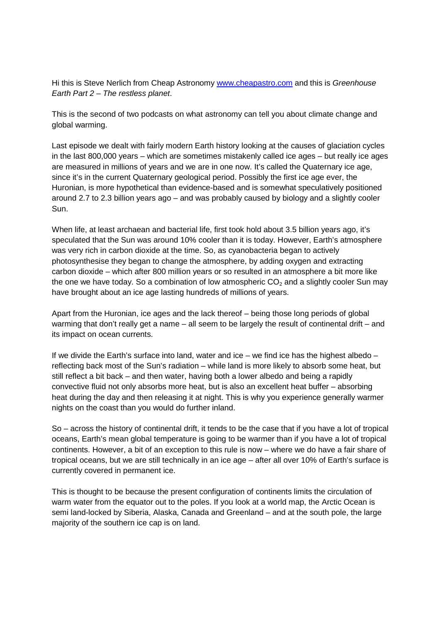Hi this is Steve Nerlich from Cheap Astronomy www.cheapastro.com and this is Greenhouse Earth Part 2 – The restless planet.

This is the second of two podcasts on what astronomy can tell you about climate change and global warming.

Last episode we dealt with fairly modern Earth history looking at the causes of glaciation cycles in the last 800,000 years – which are sometimes mistakenly called ice ages – but really ice ages are measured in millions of years and we are in one now. It's called the Quaternary ice age, since it's in the current Quaternary geological period. Possibly the first ice age ever, the Huronian, is more hypothetical than evidence-based and is somewhat speculatively positioned around 2.7 to 2.3 billion years ago – and was probably caused by biology and a slightly cooler Sun.

When life, at least archaean and bacterial life, first took hold about 3.5 billion years ago, it's speculated that the Sun was around 10% cooler than it is today. However, Earth's atmosphere was very rich in carbon dioxide at the time. So, as cyanobacteria began to actively photosynthesise they began to change the atmosphere, by adding oxygen and extracting carbon dioxide – which after 800 million years or so resulted in an atmosphere a bit more like the one we have today. So a combination of low atmospheric  $CO<sub>2</sub>$  and a slightly cooler Sun may have brought about an ice age lasting hundreds of millions of years.

Apart from the Huronian, ice ages and the lack thereof – being those long periods of global warming that don't really get a name – all seem to be largely the result of continental drift – and its impact on ocean currents.

If we divide the Earth's surface into land, water and ice – we find ice has the highest albedo – reflecting back most of the Sun's radiation – while land is more likely to absorb some heat, but still reflect a bit back – and then water, having both a lower albedo and being a rapidly convective fluid not only absorbs more heat, but is also an excellent heat buffer – absorbing heat during the day and then releasing it at night. This is why you experience generally warmer nights on the coast than you would do further inland.

So – across the history of continental drift, it tends to be the case that if you have a lot of tropical oceans, Earth's mean global temperature is going to be warmer than if you have a lot of tropical continents. However, a bit of an exception to this rule is now – where we do have a fair share of tropical oceans, but we are still technically in an ice age – after all over 10% of Earth's surface is currently covered in permanent ice.

This is thought to be because the present configuration of continents limits the circulation of warm water from the equator out to the poles. If you look at a world map, the Arctic Ocean is semi land-locked by Siberia, Alaska, Canada and Greenland – and at the south pole, the large majority of the southern ice cap is on land.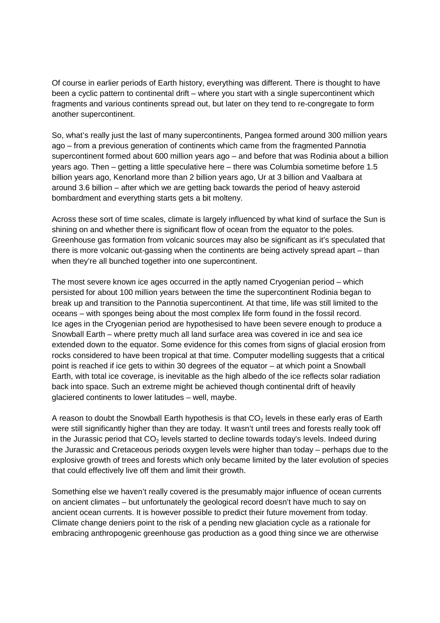Of course in earlier periods of Earth history, everything was different. There is thought to have been a cyclic pattern to continental drift – where you start with a single supercontinent which fragments and various continents spread out, but later on they tend to re-congregate to form another supercontinent.

So, what's really just the last of many supercontinents, Pangea formed around 300 million years ago – from a previous generation of continents which came from the fragmented Pannotia supercontinent formed about 600 million years ago – and before that was Rodinia about a billion years ago. Then – getting a little speculative here – there was Columbia sometime before 1.5 billion years ago, Kenorland more than 2 billion years ago, Ur at 3 billion and Vaalbara at around 3.6 billion – after which we are getting back towards the period of heavy asteroid bombardment and everything starts gets a bit molteny.

Across these sort of time scales, climate is largely influenced by what kind of surface the Sun is shining on and whether there is significant flow of ocean from the equator to the poles. Greenhouse gas formation from volcanic sources may also be significant as it's speculated that there is more volcanic out-gassing when the continents are being actively spread apart – than when they're all bunched together into one supercontinent.

The most severe known ice ages occurred in the aptly named Cryogenian period – which persisted for about 100 million years between the time the supercontinent Rodinia began to break up and transition to the Pannotia supercontinent. At that time, life was still limited to the oceans – with sponges being about the most complex life form found in the fossil record. Ice ages in the Cryogenian period are hypothesised to have been severe enough to produce a Snowball Earth – where pretty much all land surface area was covered in ice and sea ice extended down to the equator. Some evidence for this comes from signs of glacial erosion from rocks considered to have been tropical at that time. Computer modelling suggests that a critical point is reached if ice gets to within 30 degrees of the equator – at which point a Snowball Earth, with total ice coverage, is inevitable as the high albedo of the ice reflects solar radiation back into space. Such an extreme might be achieved though continental drift of heavily glaciered continents to lower latitudes – well, maybe.

A reason to doubt the Snowball Earth hypothesis is that  $CO<sub>2</sub>$  levels in these early eras of Earth were still significantly higher than they are today. It wasn't until trees and forests really took off in the Jurassic period that  $CO<sub>2</sub>$  levels started to decline towards today's levels. Indeed during the Jurassic and Cretaceous periods oxygen levels were higher than today – perhaps due to the explosive growth of trees and forests which only became limited by the later evolution of species that could effectively live off them and limit their growth.

Something else we haven't really covered is the presumably major influence of ocean currents on ancient climates – but unfortunately the geological record doesn't have much to say on ancient ocean currents. It is however possible to predict their future movement from today. Climate change deniers point to the risk of a pending new glaciation cycle as a rationale for embracing anthropogenic greenhouse gas production as a good thing since we are otherwise